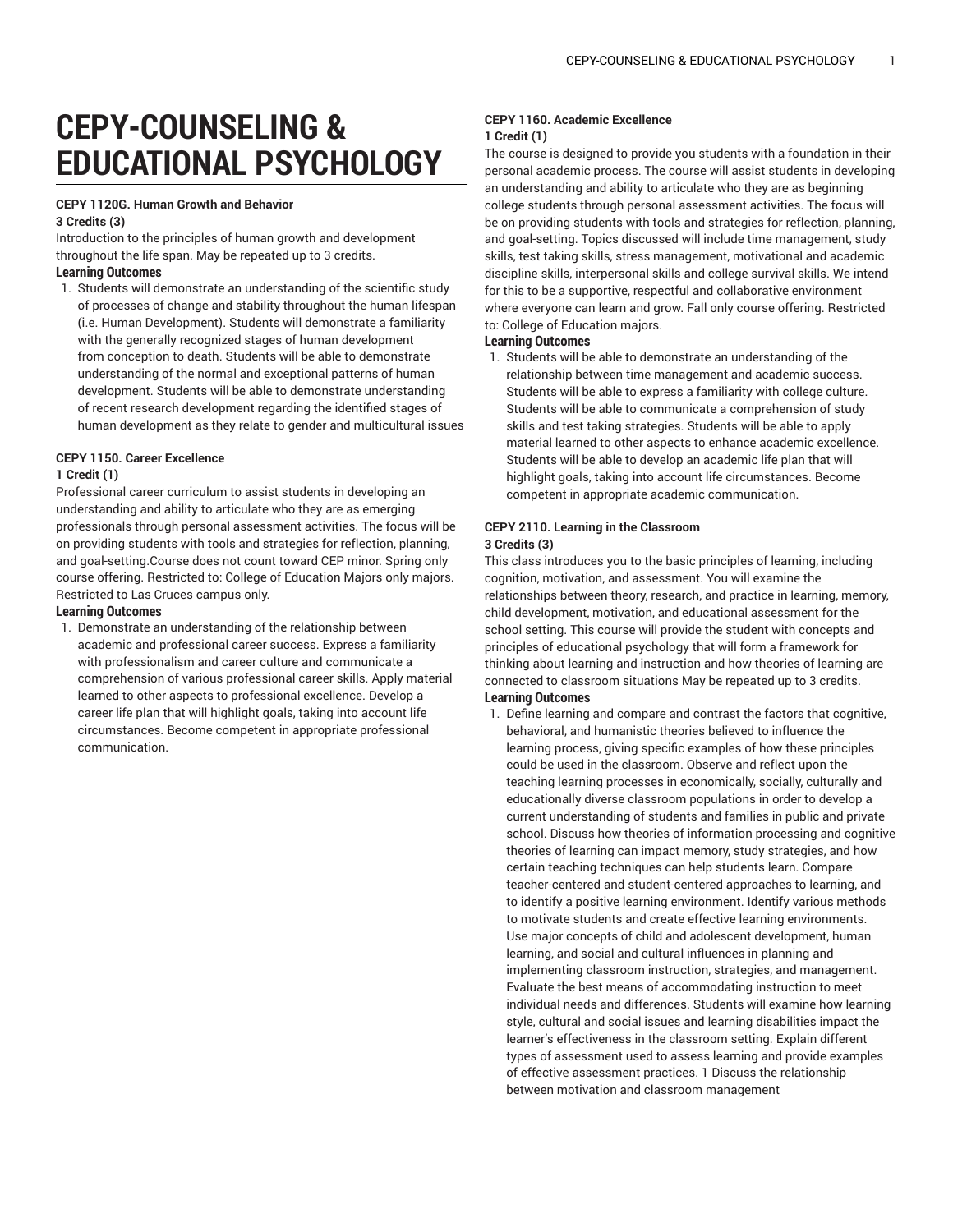# **CEPY-COUNSELING & EDUCATIONAL PSYCHOLOGY**

#### **CEPY 1120G. Human Growth and Behavior 3 Credits (3)**

Introduction to the principles of human growth and development throughout the life span. May be repeated up to 3 credits.

## **Learning Outcomes**

1. Students will demonstrate an understanding of the scientific study of processes of change and stability throughout the human lifespan (i.e. Human Development). Students will demonstrate a familiarity with the generally recognized stages of human development from conception to death. Students will be able to demonstrate understanding of the normal and exceptional patterns of human development. Students will be able to demonstrate understanding of recent research development regarding the identified stages of human development as they relate to gender and multicultural issues

## **CEPY 1150. Career Excellence**

#### **1 Credit (1)**

Professional career curriculum to assist students in developing an understanding and ability to articulate who they are as emerging professionals through personal assessment activities. The focus will be on providing students with tools and strategies for reflection, planning, and goal-setting.Course does not count toward CEP minor. Spring only course offering. Restricted to: College of Education Majors only majors. Restricted to Las Cruces campus only.

#### **Learning Outcomes**

1. Demonstrate an understanding of the relationship between academic and professional career success. Express a familiarity with professionalism and career culture and communicate a comprehension of various professional career skills. Apply material learned to other aspects to professional excellence. Develop a career life plan that will highlight goals, taking into account life circumstances. Become competent in appropriate professional communication.

### **CEPY 1160. Academic Excellence 1 Credit (1)**

The course is designed to provide you students with a foundation in their personal academic process. The course will assist students in developing an understanding and ability to articulate who they are as beginning college students through personal assessment activities. The focus will be on providing students with tools and strategies for reflection, planning, and goal-setting. Topics discussed will include time management, study skills, test taking skills, stress management, motivational and academic discipline skills, interpersonal skills and college survival skills. We intend for this to be a supportive, respectful and collaborative environment where everyone can learn and grow. Fall only course offering. Restricted to: College of Education majors.

#### **Learning Outcomes**

1. Students will be able to demonstrate an understanding of the relationship between time management and academic success. Students will be able to express a familiarity with college culture. Students will be able to communicate a comprehension of study skills and test taking strategies. Students will be able to apply material learned to other aspects to enhance academic excellence. Students will be able to develop an academic life plan that will highlight goals, taking into account life circumstances. Become competent in appropriate academic communication.

#### **CEPY 2110. Learning in the Classroom 3 Credits (3)**

This class introduces you to the basic principles of learning, including cognition, motivation, and assessment. You will examine the relationships between theory, research, and practice in learning, memory, child development, motivation, and educational assessment for the school setting. This course will provide the student with concepts and principles of educational psychology that will form a framework for thinking about learning and instruction and how theories of learning are connected to classroom situations May be repeated up to 3 credits. **Learning Outcomes**

1. Define learning and compare and contrast the factors that cognitive, behavioral, and humanistic theories believed to influence the learning process, giving specific examples of how these principles could be used in the classroom. Observe and reflect upon the teaching learning processes in economically, socially, culturally and educationally diverse classroom populations in order to develop a current understanding of students and families in public and private school. Discuss how theories of information processing and cognitive theories of learning can impact memory, study strategies, and how certain teaching techniques can help students learn. Compare teacher-centered and student-centered approaches to learning, and to identify a positive learning environment. Identify various methods to motivate students and create effective learning environments. Use major concepts of child and adolescent development, human learning, and social and cultural influences in planning and implementing classroom instruction, strategies, and management. Evaluate the best means of accommodating instruction to meet individual needs and differences. Students will examine how learning style, cultural and social issues and learning disabilities impact the learner's effectiveness in the classroom setting. Explain different types of assessment used to assess learning and provide examples of effective assessment practices. 1 Discuss the relationship between motivation and classroom management